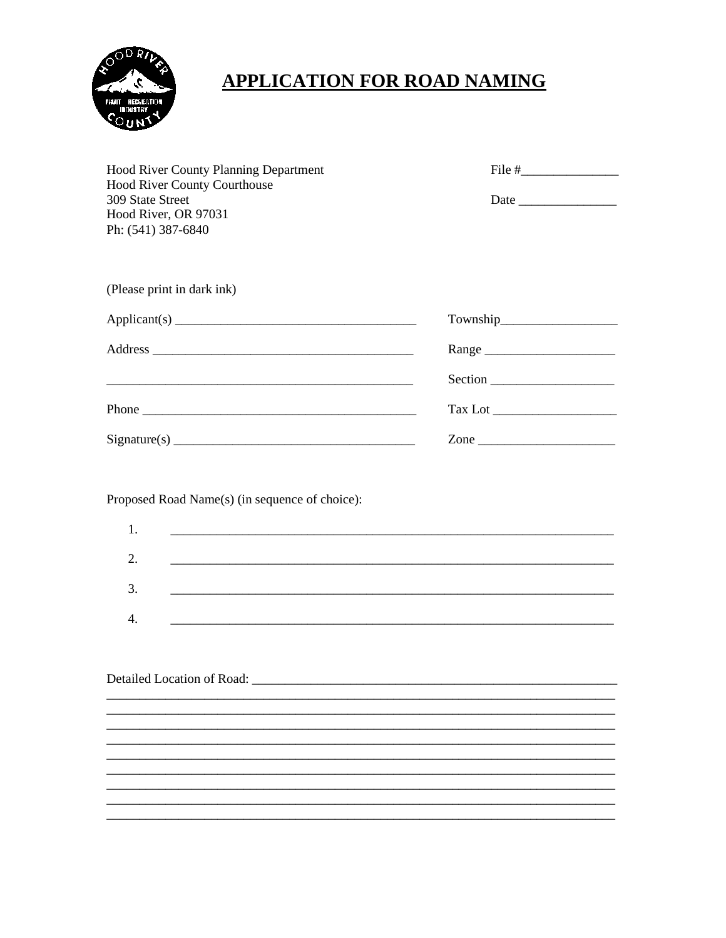

# **APPLICATION FOR ROAD NAMING**

| <b>Hood River County Planning Department</b><br>Hood River County Courthouse<br>309 State Street<br>Hood River, OR 97031<br>Ph: (541) 387-6840 |                                                                                                                                                                                      |
|------------------------------------------------------------------------------------------------------------------------------------------------|--------------------------------------------------------------------------------------------------------------------------------------------------------------------------------------|
| (Please print in dark ink)                                                                                                                     |                                                                                                                                                                                      |
| Application(s)                                                                                                                                 |                                                                                                                                                                                      |
|                                                                                                                                                |                                                                                                                                                                                      |
|                                                                                                                                                |                                                                                                                                                                                      |
|                                                                                                                                                |                                                                                                                                                                                      |
|                                                                                                                                                | Zone                                                                                                                                                                                 |
| Proposed Road Name(s) (in sequence of choice):<br>1.<br>2.<br>3.<br>4.                                                                         | <u> 1989 - Jan James James Barnett, amerikan bestein den soldat in den stad av den stad av den stad av den stad a</u><br><u> 1989 - Johann Stoff, amerikansk politiker (d. 1989)</u> |
| Detailed Location of Road: _______                                                                                                             |                                                                                                                                                                                      |